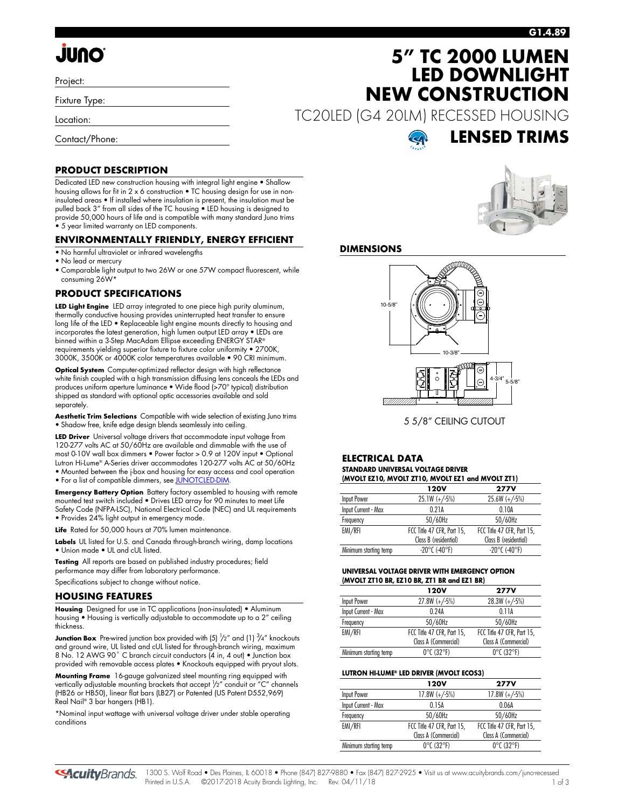#### **G1.4.89**

# **JUNO**

Project:

Fixture Type:

Location:

Contact/Phone:

#### **PRODUCT DESCRIPTION**

Dedicated LED new construction housing with integral light engine • Shallow housing allows for fit in 2 x 6 construction • TC housing design for use in noninsulated areas • If installed where insulation is present, the insulation must be pulled back 3" from all sides of the TC housing • LED housing is designed to provide 50,000 hours of life and is compatible with many standard Juno trims • 5 year limited warranty on LED components.

#### **ENVIRONMENTALLY FRIENDLY, ENERGY EFFICIENT**

- No harmful ultraviolet or infrared wavelengths
- No lead or mercury
- Comparable light output to two 26W or one 57W compact fluorescent, while consuming 26W\*

#### **PRODUCT SPECIFICATIONS**

**LED Light Engine** LED array integrated to one piece high purity aluminum, thermally conductive housing provides uninterrupted heat transfer to ensure long life of the LED • Replaceable light engine mounts directly to housing and incorporates the latest generation, high lumen output LED array • LEDs are binned within a 3-Step MacAdam Ellipse exceeding ENERGY STAR® requirements yielding superior fixture to fixture color uniformity • 2700K, 3000K, 3500K or 4000K color temperatures available • 90 CRI minimum.

**Optical System** Computer-optimized reflector design with high reflectance white finish coupled with a high transmission diffusing lens conceals the LEDs and produces uniform aperture luminance • Wide flood (>70° typical) distribution shipped as standard with optional optic accessories available and sold separately.

**Aesthetic Trim Selections** Compatible with wide selection of existing Juno trims • Shadow free, knife edge design blends seamlessly into ceiling.

**LED Driver** Universal voltage drivers that accommodate input voltage from 120-277 volts AC at 50/60Hz are available and dimmable with the use of most 0-10V wall box dimmers • Power factor > 0.9 at 120V input • Optional Lutron Hi-Lume® A-Series driver accommodates 120-277 volts AC at 50/60Hz • Mounted between the j-box and housing for easy access and cool operation • For a list of compatible dimmers, se[e JUNOTCLED-DIM.](http://www.acuitybrands.com/shell/-/media/Files/Acuity/Other/JUNOTCLED-DIM.pdf)

**Emergency Battery Option** Battery factory assembled to housing with remote mounted test switch included • Drives LED array for 90 minutes to meet Life Safety Code (NFPA-LSC), National Electrical Code (NEC) and UL requirements • Provides 24% light output in emergency mode.

**Life** Rated for 50,000 hours at 70% lumen maintenance.

**Labels** UL listed for U.S. and Canada through-branch wiring, damp locations • Union made • UL and cUL listed.

**Testing** All reports are based on published industry procedures; field performance may differ from laboratory performance. Specifications subject to change without notice.

#### **HOUSING FEATURES**

**Housing** Designed for use in TC applications (non-insulated) • Aluminum housing • Housing is vertically adjustable to accommodate up to a 2" ceiling thickness.

**Junction Box** Pre-wired junction box provided with (5)  $\frac{1}{2}$ " and (1)  $\frac{3}{4}$ " knockouts and ground wire, UL listed and cUL listed for through-branch wiring, maximum 8 No. 12 AWG 90° C branch circuit conductors (4 in, 4 out) • Junction box provided with removable access plates • Knockouts equipped with pryout slots.

**Mounting Frame** 16-gauge galvanized steel mounting ring equipped with vertically adjustable mounting brackets that accept  $\frac{1}{2}$ " conduit or "C" channels (HB26 or HB50), linear flat bars (LB27) or Patented (US Patent D552,969) Real Nail® 3 bar hangers (HB1).

\*Nominal input wattage with universal voltage driver under stable operating conditions



TC20LED (G4 20LM) RECESSED HOUSING



**LENSED TRIMS**

**5" TC 2000 LUMEN LED DOWNLIGHT**

**NEW CONSTRUCTION**

#### **DIMENSIONS**



5 5/8" CEILING CUTOUT

#### **ELECTRICAL DATA STANDARD UNIVERSAL VOLTAGE DRIVER (MVOLT EZ10, MVOLT ZT10, MVOLT EZ1 and MVOLT ZT1)**

| $(III)$ with the state $(0, III)$ in the state of the state $(III)$ |                            |  |  |
|---------------------------------------------------------------------|----------------------------|--|--|
| 120V                                                                | <b>277V</b>                |  |  |
| $25.1W (+/-5%)$                                                     | $25.6W (+/-5%)$            |  |  |
| 0.21A                                                               | 0.10A                      |  |  |
| 50/60Hz                                                             | 50/60Hz                    |  |  |
| FCC Title 47 CFR, Part 15,                                          | FCC Title 47 CFR, Part 15, |  |  |
| Class B (residential)                                               | Class B (residential)      |  |  |
| $-20^{\circ}$ C (-40°F)                                             | $-20^{\circ}$ C (-40°F)    |  |  |
|                                                                     |                            |  |  |

#### **UNIVERSAL VOLTAGE DRIVER WITH EMERGENCY OPTION (MVOLT ZT10 BR, EZ10 BR, ZT1 BR and EZ1 BR)**

| <b>120V</b>                     | <b>277V</b>                     |
|---------------------------------|---------------------------------|
| $27.8W (+/-5%)$                 | $28.3W (+/-5%)$                 |
| 0.24A                           | 0.11A                           |
| 50/60Hz                         | 50/60Hz                         |
| FCC Title 47 CFR, Part 15,      | FCC Title 47 CFR, Part 15,      |
| Class A (Commercial)            | Class A (Commercial)            |
| $0^{\circ}$ C (32 $^{\circ}$ F) | $0^{\circ}$ C (32 $^{\circ}$ F) |
|                                 |                                 |

#### **LUTRON HI-LUME® LED DRIVER (MVOLT ECOS3)**

|                       | 120V                            | <b>277V</b>                     |
|-----------------------|---------------------------------|---------------------------------|
| Input Power           | $17.8W (+/-5%)$                 | $17.8W (+/-5%)$                 |
| Input Current - Max   | 0.15A                           | 0.06A                           |
| Frequency             | 50/60Hz                         | 50/60Hz                         |
| EMI/RFI               | FCC Title 47 CFR, Part 15,      | FCC Title 47 CFR, Part 15,      |
|                       | Class A (Commercial)            | Class A (Commercial)            |
| Minimum starting temp | $0^{\circ}$ C (32 $^{\circ}$ F) | $0^{\circ}$ C (32 $^{\circ}$ F) |

**SAcuity** Brands.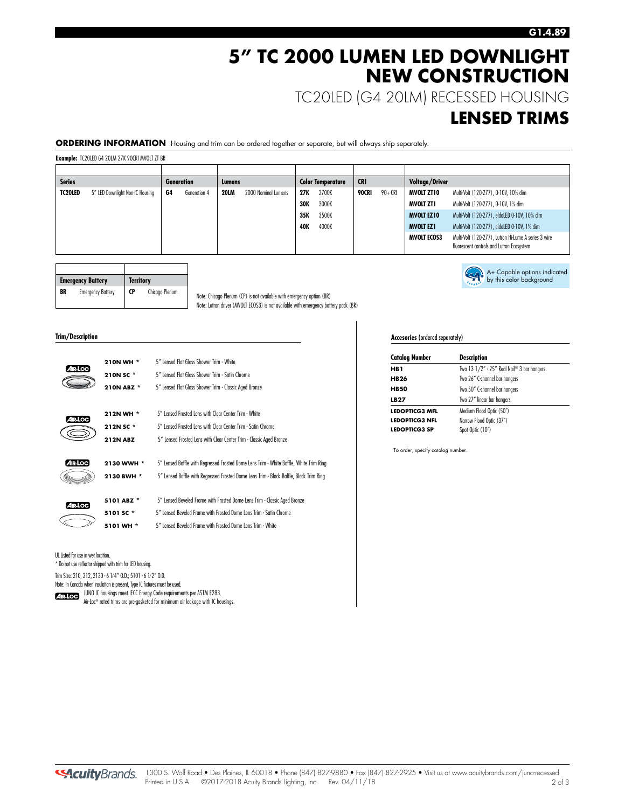## **5" TC 2000 LUMEN LED DOWNLIGHT NEW CONSTRUCTION**

TC20LED (G4 20LM) RECESSED HOUSING

### **LENSED TRIMS**

A+ Capable options indicated by this color background

#### **ORDERING INFORMATION** Housing and trim can be ordered together or separate, but will always ship separately.

**Example:** TC20LED G4 20LM 27K 90CRI MVOLT ZT BR

| <b>Series</b>  |                                 |    | <b>Generation</b> | Lumens      |                     |            | <b>Color Temperature</b> | <b>CRI</b> |         | Voltage/Driver     |                                                                                                   |
|----------------|---------------------------------|----|-------------------|-------------|---------------------|------------|--------------------------|------------|---------|--------------------|---------------------------------------------------------------------------------------------------|
| <b>TC20LED</b> | 5" LED Downlight Non-IC Housing | G4 | Generation 4      | <b>20LM</b> | 2000 Nominal Lumens | 27K        | 2700K                    | 90CRI      | 90+ CRI | <b>MVOLT ZT10</b>  | Multi-Volt (120-277), 0-10V, 10% dim                                                              |
|                |                                 |    |                   |             |                     | <b>30K</b> | 3000K                    |            |         | MVOLT ZT1          | Multi-Volt (120-277), 0-10V, 1% dim                                                               |
|                |                                 |    |                   |             |                     | 35K        | 3500K                    |            |         | <b>MVOLT EZ10</b>  | Multi-Volt (120-277), eldoLED 0-10V, 10% dim                                                      |
|                |                                 |    |                   |             |                     | 40K        | 4000K                    |            |         | <b>MVOLT EZ1</b>   | Multi-Volt (120-277), eldoLED 0-10V, 1% dim                                                       |
|                |                                 |    |                   |             |                     |            |                          |            |         | <b>MVOLT ECOS3</b> | Multi-Volt (120-277), Lutron Hi-Lume A series 3 wire<br>fluorescent controls and Lutron Ecosystem |

|    | <b>Emergency Battery</b> | <b>Territory</b> |                |
|----|--------------------------|------------------|----------------|
| BR | <b>Emergency Battery</b> | <b>CP</b>        | Chicago Plenum |

Note: Chicago Plenum (CP) is not available with emergency option (BR) Note: Lutron driver (MVOLT ECOS3) is not available with emergency battery pack (BR)

#### **Trim/Description**

|                | 210N WH *       | 5" Lensed Flat Glass Shower Trim - White                                               |
|----------------|-----------------|----------------------------------------------------------------------------------------|
| IR LOC         | 210N SC *       | 5" Lensed Flat Glass Shower Trim - Satin Chrome                                        |
|                | 210N ABZ *      | 5" Lensed Flat Glass Shower Trim - Classic Aged Bronze                                 |
| AIR LOC        | 212N WH *       | 5" Lensed Frosted Lens with Clear Center Trim - White                                  |
|                | 212N SC *       | 5" Lensed Frosted Lens with Clear Center Trim - Satin Chrome                           |
|                | <b>212N ABZ</b> | 5" Lensed Frosted Lens with Clear Center Trim - Classic Aged Bronze                    |
| <b>AIR LOC</b> | 2130 WWH *      | 5" Lensed Baffle with Regressed Frosted Dome Lens Trim - White Baffle, White Trim Ring |
|                | 2130 BWH *      | 5" Lensed Baffle with Regressed Frosted Dome Lens Trim - Black Baffle, Black Trim Ring |
| 4 IR LOC       | 5101 ABZ *      | 5" Lensed Beveled Frame with Frosted Dome Lens Trim - Classic Aged Bronze              |
|                | 5101 SC*        | 5" Lensed Beveled Frame with Frosted Dome Lens Trim - Satin Chrome                     |
|                | 5101 WH *       | 5" Lensed Reveled Frame with Frosted Dome Lens Trim - White                            |
|                |                 |                                                                                        |

UL Listed for use in wet location.

\* Do not use reflector shipped with trim for LED housing.

Trim Size: 210, 212, 2130 - 6 1⁄ 4" O.D.; 5101 - 6 1⁄ 2" O.D.

Note: In Canada when insulation is present, Type IC fixtures must be used.

JUNO IC housings meet IECC Energy Code requirements per ASTM E283.

Air-Loc® rated trims are pre-gasketed for minimum air leakage with IC housings.

#### **Accesories** (ordered separately)

| <b>Catalog Number</b> | <b>Description</b>                         |  |
|-----------------------|--------------------------------------------|--|
| HB 1                  | Two 13 1/2" - 25" Real Nail® 3 bar hangers |  |
| <b>HB26</b>           | Two 26" C-channel bar hangers              |  |
| <b>HB50</b>           | Two 50" C-channel bar hangers              |  |
| LB27                  | Two 27" linear bar hangers                 |  |
| <b>LEDOPTICG3 MFL</b> | Medium Flood Optic (50°)                   |  |
| <b>LEDOPTICG3 NFL</b> | Narrow Flood Optic (37°)                   |  |
| <b>LEDOPTICG3 SP</b>  | Spot Optic (10°)                           |  |

To order, specify catalog number.